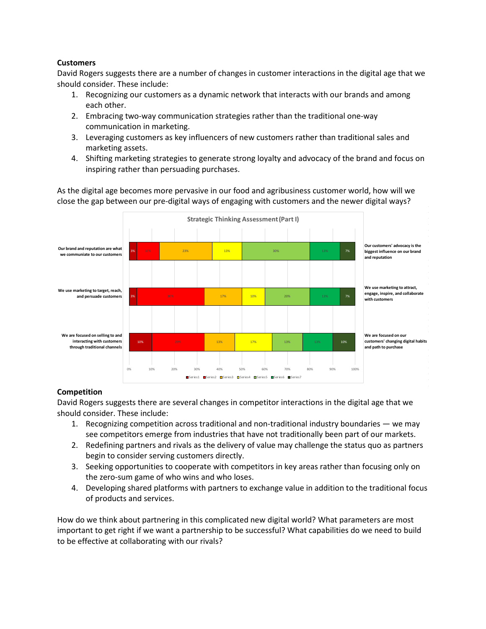## **Customers**

David Rogers suggests there are a number of changes in customer interactions in the digital age that we should consider. These include:

- 1. Recognizing our customers as a dynamic network that interacts with our brands and among each other.
- 2. Embracing two-way communication strategies rather than the traditional one-way communication in marketing.
- 3. Leveraging customers as key influencers of new customers rather than traditional sales and marketing assets.
- 4. Shifting marketing strategies to generate strong loyalty and advocacy of the brand and focus on inspiring rather than persuading purchases.

As the digital age becomes more pervasive in our food and agribusiness customer world, how will we close the gap between our pre-digital ways of engaging with customers and the newer digital ways?



# **Competition**

David Rogers suggests there are several changes in competitor interactions in the digital age that we should consider. These include:

- 1. Recognizing competition across traditional and non-traditional industry boundaries we may see competitors emerge from industries that have not traditionally been part of our markets.
- 2. Redefining partners and rivals as the delivery of value may challenge the status quo as partners begin to consider serving customers directly.
- 3. Seeking opportunities to cooperate with competitors in key areas rather than focusing only on the zero-sum game of who wins and who loses.
- 4. Developing shared platforms with partners to exchange value in addition to the traditional focus of products and services.

How do we think about partnering in this complicated new digital world? What parameters are most important to get right if we want a partnership to be successful? What capabilities do we need to build to be effective at collaborating with our rivals?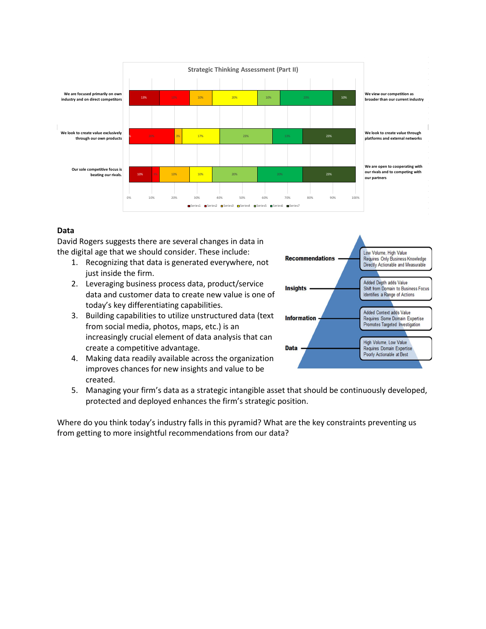

#### **Data**

David Rogers suggests there are several changes in data in the digital age that we should consider. These include:

- 1. Recognizing that data is generated everywhere, not just inside the firm.
- 2. Leveraging business process data, product/service data and customer data to create new value is one of today's key differentiating capabilities.
- 3. Building capabilities to utilize unstructured data (text from social media, photos, maps, etc.) is an increasingly crucial element of data analysis that can create a competitive advantage.
- 4. Making data readily available across the organization improves chances for new insights and value to be created.



5. Managing your firm's data as a strategic intangible asset that should be continuously developed, protected and deployed enhances the firm's strategic position.

Where do you think today's industry falls in this pyramid? What are the key constraints preventing us from getting to more insightful recommendations from our data?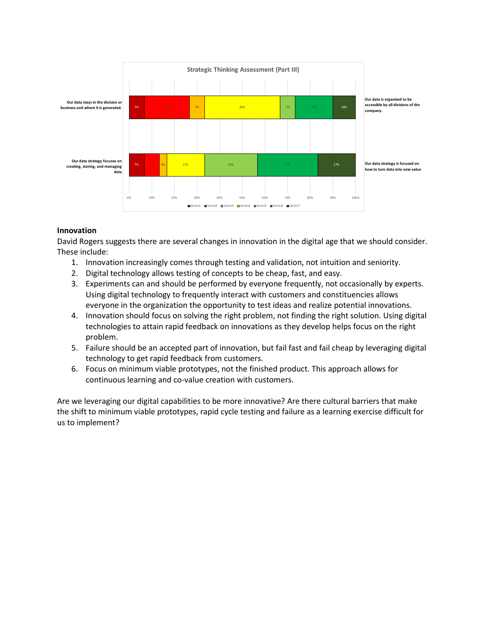

## **Innovation**

David Rogers suggests there are several changes in innovation in the digital age that we should consider. These include:

- 1. Innovation increasingly comes through testing and validation, not intuition and seniority.
- 2. Digital technology allows testing of concepts to be cheap, fast, and easy.
- 3. Experiments can and should be performed by everyone frequently, not occasionally by experts. Using digital technology to frequently interact with customers and constituencies allows everyone in the organization the opportunity to test ideas and realize potential innovations.
- 4. Innovation should focus on solving the right problem, not finding the right solution. Using digital technologies to attain rapid feedback on innovations as they develop helps focus on the right problem.
- 5. Failure should be an accepted part of innovation, but fail fast and fail cheap by leveraging digital technology to get rapid feedback from customers.
- 6. Focus on minimum viable prototypes, not the finished product. This approach allows for continuous learning and co-value creation with customers.

Are we leveraging our digital capabilities to be more innovative? Are there cultural barriers that make the shift to minimum viable prototypes, rapid cycle testing and failure as a learning exercise difficult for us to implement?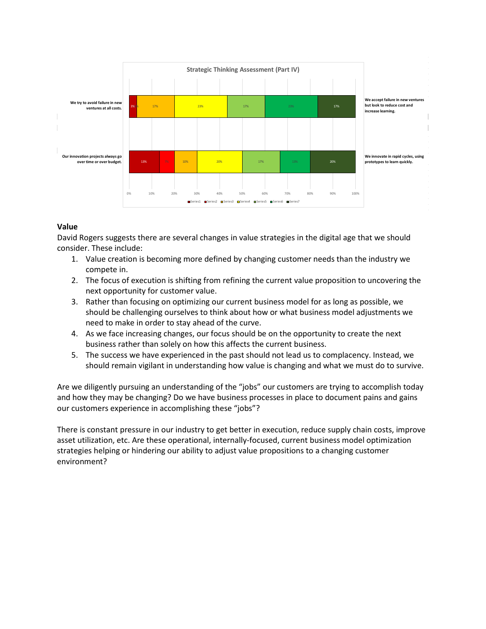

## **Value**

David Rogers suggests there are several changes in value strategies in the digital age that we should consider. These include:

- 1. Value creation is becoming more defined by changing customer needs than the industry we compete in.
- 2. The focus of execution is shifting from refining the current value proposition to uncovering the next opportunity for customer value.
- 3. Rather than focusing on optimizing our current business model for as long as possible, we should be challenging ourselves to think about how or what business model adjustments we need to make in order to stay ahead of the curve.
- 4. As we face increasing changes, our focus should be on the opportunity to create the next business rather than solely on how this affects the current business.
- 5. The success we have experienced in the past should not lead us to complacency. Instead, we should remain vigilant in understanding how value is changing and what we must do to survive.

Are we diligently pursuing an understanding of the "jobs" our customers are trying to accomplish today and how they may be changing? Do we have business processes in place to document pains and gains our customers experience in accomplishing these "jobs"?

There is constant pressure in our industry to get better in execution, reduce supply chain costs, improve asset utilization, etc. Are these operational, internally-focused, current business model optimization strategies helping or hindering our ability to adjust value propositions to a changing customer environment?